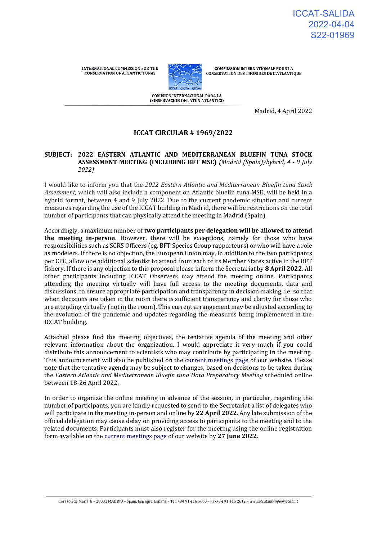**INTERNATIONAL COMMISSION FOR THE CONSERVATION OF ATLANTIC TUNAS** 



**COMMISSION INTERNATIONALE POUR LA** CONSERVATION DES THONIDES DE L'ATLANTIQUE

COMISION INTERNACIONAL PARA LA **CONSERVACION DEL ATUN ATLANTICO** 

Madrid, 4 April 2022

## **ICCAT CIRCULAR # 1969/2022**

#### **SUBJECT: 2022 EASTERN ATLANTIC AND MEDITERRANEAN BLUEFIN TUNA STOCK ASSESSMENT MEETING (INCLUDING BFT MSE)** *(Madrid (Spain)/hybrid, 4 - 9 July 2022)*

I would like to inform you that the *2022 Eastern Atlantic and Mediterranean Bluefin tuna Stock Assessment*, which will also include a component on Atlantic bluefin tuna MSE, will be held in a hybrid format, between 4 and 9 July 2022. Due to the current pandemic situation and current measures regarding the use of the ICCAT building in Madrid, there will be restrictions on the total number of participants that can physically attend the meeting in Madrid (Spain).

Accordingly, a maximum number of **two participants per delegation will be allowed to attend the meeting in-person.** However, there will be exceptions, namely for those who have responsibilities such as SCRS Officers (eg. BFT Species Group rapporteurs) or who will have a role as modelers. If there is no objection, the European Union may, in addition to the two participants per CPC, allow one additional scientist to attend from each of its Member States active in the BFT fishery. If there is any objection to this proposal please inform the Secretariat by **8 April 2022**. All other participants including ICCAT Observers may attend the meeting online. Participants attending the meeting virtually will have full access to the meeting documents, data and discussions, to ensure appropriate participation and transparency in decision making, i.e. so that when decisions are taken in the room there is sufficient transparency and clarity for those who are attending virtually (not in the room). This current arrangement may be adjusted according to the evolution of the pandemic and updates regarding the measures being implemented in the ICCAT building.

Attached please find the meeting objectives, the tentative agenda of the meeting and other relevant information about the organization. I would appreciate it very much if you could distribute this announcement to scientists who may contribute by participating in the meeting. This announcement will also be published on the [current meetings page o](https://www.iccat.int/en/Meetings.html)f our website. Please note that the tentative agenda may be subject to changes, based on decisions to be taken during the *Eastern Atlantic and Mediterranean Bluefin tuna Data Preparatory Meeting* scheduled online between 18-26 April 2022.

In order to organize the online meeting in advance of the session, in particular, regarding the number of participants, you are kindly requested to send to the Secretariat a list of delegates who will participate in the meeting in-person and online by **22 April 2022**. Any late submission of the official delegation may cause delay on providing access to participants to the meeting and to the related documents. Participants must also register for the meeting using the online registration form available on the [current meetings page o](https://www.iccat.int/en/Meetings.html)f our website by **27 June 2022**.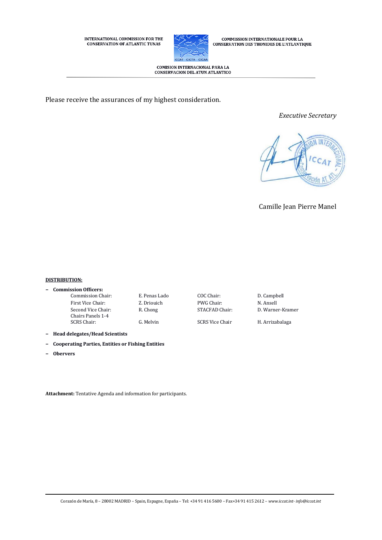**INTERNATIONAL COMMISSION FOR THE CONSERVATION OF ATLANTIC TUNAS** 



 $\begin{array}{c} \textbf{COMMISSION INTERNATIONALE POUR LA}\\ \textbf{CONSERVATION DES THONIDES DE L'ATLANTIQUE} \end{array}$ 

COMISION INTERNACIONAL PARA LA CONSERVACION DEL ATUN ATLANTICO

Please receive the assurances of my highest consideration.

*Executive Secretary*



Camille Jean Pierre Manel

#### **DISTRIBUTION:**

### **− Commission Officers:**

- First Vice Chair: Z. Driouich PWG Chair: N. Ansell Second Vice Chair: Chairs Panels 1-4 SCRS Chair: G. Melvin SCRS Vice Chair H. Arrizabalaga
	-

Commission Chair: E. Penas Lado COC Chair: D. Campbell

R. Chong STACFAD Chair: D. Warner-Kramer

**− Head delegates/Head Scientists**

- **− Cooperating Parties, Entities or Fishing Entities**
- **− Obervers**

**Attachment:** Tentative Agenda and information for participants.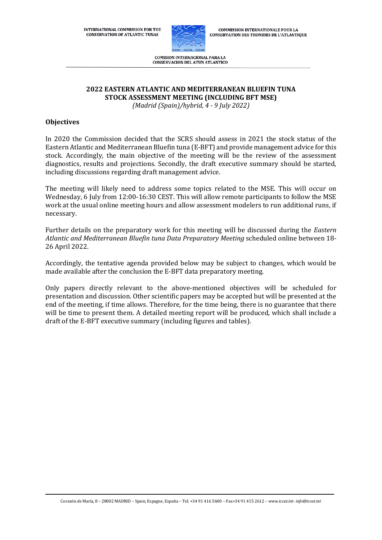**INTERNATIONAL COMMISSION FOR THE CONSERVATION OF ATLANTIC TUNAS** 



**COMMISSION INTERNATIONALE POUR LA CONSERVATION DES THONIDES DE L'ATLANTIQUE** 

COMISION INTERNACIONAL PARA LA **CONSERVACION DEL ATUN ATLANTICO** 

#### **2022 EASTERN ATLANTIC AND MEDITERRANEAN BLUEFIN TUNA STOCK ASSESSMENT MEETING (INCLUDING BFT MSE)**

*(Madrid (Spain)/hybrid, 4 - 9 July 2022)*

### **Objectives**

In 2020 the Commission decided that the SCRS should assess in 2021 the stock status of the Eastern Atlantic and Mediterranean Bluefin tuna (E-BFT) and provide management advice for this stock. Accordingly, the main objective of the meeting will be the review of the assessment diagnostics, results and projections. Secondly, the draft executive summary should be started, including discussions regarding draft management advice.

The meeting will likely need to address some topics related to the MSE. This will occur on Wednesday, 6 July from 12:00-16:30 CEST. This will allow remote participants to follow the MSE work at the usual online meeting hours and allow assessment modelers to run additional runs, if necessary.

Further details on the preparatory work for this meeting will be discussed during the *Eastern Atlantic and Mediterranean Bluefin tuna Data Preparatory Meeting* scheduled online between 18- 26 April 2022.

Accordingly, the tentative agenda provided below may be subject to changes, which would be made available after the conclusion the E-BFT data preparatory meeting.

Only papers directly relevant to the above-mentioned objectives will be scheduled for presentation and discussion. Other scientific papers may be accepted but will be presented at the end of the meeting, if time allows. Therefore, for the time being, there is no guarantee that there will be time to present them. A detailed meeting report will be produced, which shall include a draft of the E-BFT executive summary (including figures and tables).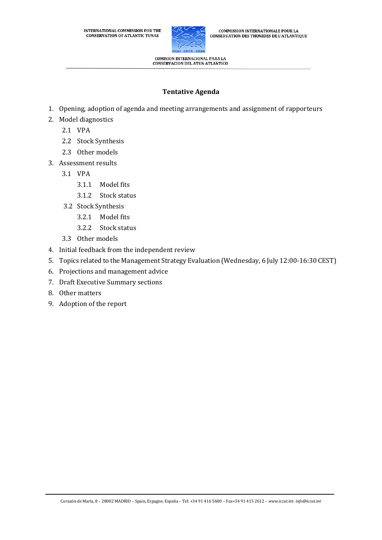

**COMMISSION INTERNATIONALE POUR LA** CONSERVATION DES THONIDES DE L'ATLANTIQUE

**COMISION INTERNACIONAL PARA LA** CONSERVACION DEL ATUN ATLANTICO

# **Tentative Agenda**

- 1. Opening, adoption of agenda and meeting arrangements and assignment of rapporteurs
- 2. Model diagnostics
	- 2.1 VPA
	- 2.2 Stock Synthesis
	- 2.3 Other models
- 3. Assessment results
	- 3.1 VPA
		- 3.1.1 Model fits
		- 3.1.2 Stock status
	- 3.2 Stock Synthesis
		- 3.2.1 Model fits
		- 3.2.2 Stock status
	- 3.3 Other models
- 4. Initial feedback from the independent review
- 5. Topics related to the Management Strategy Evaluation (Wednesday, 6 July 12:00-16:30 CEST)
- 6. Projections and management advice
- 7. Draft Executive Summary sections
- 8. Other matters
- 9. Adoption of the report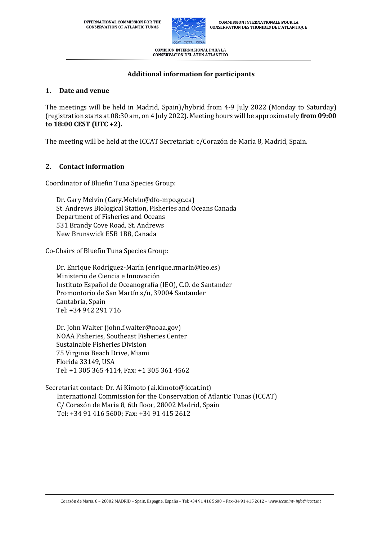

COMISION INTERNACIONAL PARA LA **CONSERVACION DEL ATUN ATLANTICO** 

# **Additional information for participants**

## **1. Date and venue**

The meetings will be held in Madrid, Spain)/hybrid from 4-9 July 2022 (Monday to Saturday) (registration starts at 08:30 am, on 4 July 2022). Meeting hours will be approximately **from 09:00 to 18:00 CEST (UTC +2).**

The meeting will be held at the ICCAT Secretariat: c/Corazón de María 8, Madrid, Spain.

# **2. Contact information**

Coordinator of Bluefin Tuna Species Group:

Dr. Gary Melvin (Gary.Melvin@dfo-mpo.gc.ca) St. Andrews Biological Station, Fisheries and Oceans Canada Department of Fisheries and Oceans 531 Brandy Cove Road, St. Andrews New Brunswick E5B 1B8, Canada

Co-Chairs of Bluefin Tuna Species Group:

Dr. Enrique Rodríguez-Marín (enrique.rmarin@ieo.es) Ministerio de Ciencia e Innovación Instituto Español de Oceanografía (IEO), C.O. de Santander Promontorio de San Martín s/n, 39004 Santander Cantabria, Spain Tel: +34 942 291 716

Dr. John Walter (john.f.walter@noaa.gov) NOAA Fisheries, Southeast Fisheries Center Sustainable Fisheries Division 75 Virginia Beach Drive, Miami Florida 33149, USA Tel: +1 305 365 4114, Fax: +1 305 361 4562

Secretariat contact: Dr. Ai Kimoto (ai.kimoto@iccat.int) International Commission for the Conservation of Atlantic Tunas (ICCAT) C/ Corazón de María 8, 6th floor, 28002 Madrid, Spain Tel: +34 91 416 5600; Fax: +34 91 415 2612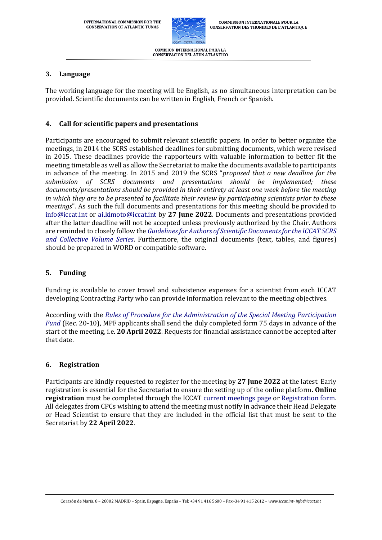

**CONSERVACION DEL ATUN ATLANTICO** 

### **3. Language**

The working language for the meeting will be English, as no simultaneous interpretation can be provided. Scientific documents can be written in English, French or Spanish.

### **4. Call for scientific papers and presentations**

Participants are encouraged to submit relevant scientific papers. In order to better organize the meetings, in 2014 the SCRS established deadlines for submitting documents, which were revised in 2015. These deadlines provide the rapporteurs with valuable information to better fit the meeting timetable as well as allow the Secretariat to make the documents available to participants in advance of the meeting. In 2015 and 2019 the SCRS "*proposed that a new deadline for the submission of SCRS documents and presentations should be implemented; these documents/presentations should be provided in their entirety at least one week before the meeting in which they are to be presented to facilitate their review by participating scientists prior to these meetings*". As such the full documents and presentations for this meeting should be provided to [info@iccat.int](mailto:info@iccat.int) or [ai.kimoto@iccat.int](mailto:ai.kimoto@iccat.int) by **27 June 2022**. Documents and presentations provided after the latter deadline will not be accepted unless previously authorized by the Chair. Authors are reminded to closely follow the *[Guidelines for Authors of Scientific Documents for the ICCAT SCRS](https://www.iccat.int/Documents/SCRS/Other/Guide_ColVol_ENG.pdf)  [and Collective Volume Series](https://www.iccat.int/Documents/SCRS/Other/Guide_ColVol_ENG.pdf)*. Furthermore, the original documents (text, tables, and figures) should be prepared in WORD or compatible software.

### **5. Funding**

Funding is available to cover travel and subsistence expenses for a scientist from each ICCAT developing Contracting Party who can provide information relevant to the meeting objectives.

According with the *[Rules of Procedure for the Administration of the Special Meeting Participation](https://www.iccat.int/Documents/Recs/compendiopdf-e/2020-10-e.pdf)  [Fund](https://www.iccat.int/Documents/Recs/compendiopdf-e/2020-10-e.pdf)* (Rec. 20-10), MPF applicants shall send the duly completed form 75 days in advance of the start of the meeting, i.e. **20 April 2022**. Requests for financial assistance cannot be accepted after that date.

#### **6. Registration**

Participants are kindly requested to register for the meeting by **27 June 2022** at the latest. Early registration is essential for the Secretariat to ensure the setting up of the online platform. **Online registration** must be completed through the ICCAT [current meetings page](https://www.iccat.int/en/Meetings.html) or [Registration form.](https://www.iccat.int/en/formmeet.html) All delegates from CPCs wishing to attend the meeting must notify in advance their Head Delegate or Head Scientist to ensure that they are included in the official list that must be sent to the Secretariat by **22 April 2022**.